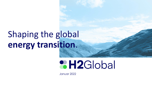# Shaping the global **energy transition**.

# **CH2Global**

Januar 2022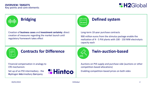

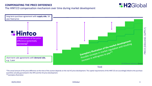The HINT.CO compensation mechanism over time during market development



TIME

\*The actual amount of the price difference at the time of the auction depends on the real H2 price development. The capital requirements of the HINT.CO are accordingly linked to the purchase quantities actually guaranteed in the HPA and the H2 price development. \*\*exemplary illustration

**2 H2Global**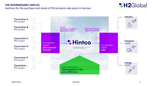### **THE INTERMEDIARY: HINT.CO** Auctions for the purchase and resale of PtX products take place in German

## **&H2Global**



04/01/2022 H2Global 4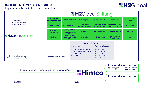## **H2GLOBAL IMPLEMENTATION STRUCTURE**

**& H2Global**